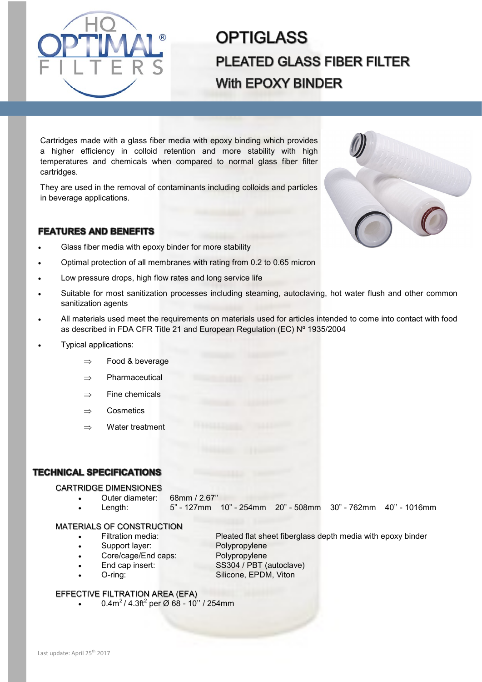

# **OPTIGLASS PLEATED GLASS FIBER FILTER With EPOXY BINDER**

Cartridges made with a glass fiber media with epoxy binding which provides a higher efficiency in colloid retention and more stability with high temperatures and chemicals when compared to normal glass fiber filter cartridges.

They are used in the removal of contaminants including colloids and particles in beverage applications.

## **FEATURES AND BENEFITS**

- Glass fiber media with epoxy binder for more stability
- Optimal protection of all membranes with rating from 0.2 to 0.65 micron
- Low pressure drops, high flow rates and long service life
- Suitable for most sanitization processes including steaming, autoclaving, hot water flush and other common sanitization agents
- All materials used meet the requirements on materials used for articles intended to come into contact with food as described in FDA CFR Title 21 and European Regulation (EC) Nº 1935/2004
- Typical applications:
	- $\Rightarrow$  Food & beverage
	- $\Rightarrow$  Pharmaceutical
	- $\Rightarrow$  Fine chemicals
	- $\Rightarrow$  Cosmetics
	- $\Rightarrow$  Water treatment

## **TECHNICAL SPECIFICATIONS**

### CARTRIDGE DIMENSIONES

• Outer diameter: 68mm / 2.67''

• Length: 5" - 127mm 10" - 254mm 20" - 508mm 30" - 762mm 40'' - 1016mm

#### MATERIALS OF CONSTRUCTION

- Filtration media: Pleated flat sheet fiberglass depth media with epoxy binder
- Support layer: Polypropylene
- Core/cage/End caps: Polypropylene
- -
- End cap insert: SS304 / PBT (autoclave) • O-ring: Silicone, EPDM, Viton
- EFFECTIVE FILTRATION AREA (EFA)
	- 0.4m<sup>2</sup> / 4.3ft<sup>2</sup> per Ø 68 10" / 254mm